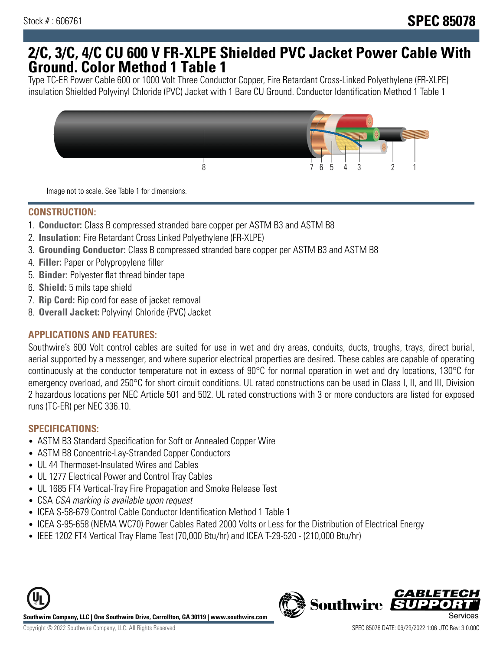## **2/C, 3/C, 4/C CU 600 V FR-XLPE Shielded PVC Jacket Power Cable With Ground. Color Method 1 Table 1**

Type TC-ER Power Cable 600 or 1000 Volt Three Conductor Copper, Fire Retardant Cross-Linked Polyethylene (FR-XLPE) insulation Shielded Polyvinyl Chloride (PVC) Jacket with 1 Bare CU Ground. Conductor Identification Method 1 Table 1



Image not to scale. See Table 1 for dimensions.

#### **CONSTRUCTION:**

- 1. **Conductor:** Class B compressed stranded bare copper per ASTM B3 and ASTM B8
- 2. **Insulation:** Fire Retardant Cross Linked Polyethylene (FR-XLPE)
- 3. **Grounding Conductor:** Class B compressed stranded bare copper per ASTM B3 and ASTM B8
- 4. **Filler:** Paper or Polypropylene filler
- 5. **Binder:** Polyester flat thread binder tape
- 6. **Shield:** 5 mils tape shield
- 7. **Rip Cord:** Rip cord for ease of jacket removal
- 8. **Overall Jacket:** Polyvinyl Chloride (PVC) Jacket

### **APPLICATIONS AND FEATURES:**

Southwire's 600 Volt control cables are suited for use in wet and dry areas, conduits, ducts, troughs, trays, direct burial, aerial supported by a messenger, and where superior electrical properties are desired. These cables are capable of operating continuously at the conductor temperature not in excess of 90°C for normal operation in wet and dry locations, 130°C for emergency overload, and 250°C for short circuit conditions. UL rated constructions can be used in Class I, II, and III, Division 2 hazardous locations per NEC Article 501 and 502. UL rated constructions with 3 or more conductors are listed for exposed runs (TC-ER) per NEC 336.10.

#### **SPECIFICATIONS:**

- ASTM B3 Standard Specification for Soft or Annealed Copper Wire
- ASTM B8 Concentric-Lay-Stranded Copper Conductors
- UL 44 Thermoset-Insulated Wires and Cables
- UL 1277 Electrical Power and Control Tray Cables
- UL 1685 FT4 Vertical-Tray Fire Propagation and Smoke Release Test
- CSA CSA marking is available upon request
- ICEA S-58-679 Control Cable Conductor Identification Method 1 Table 1
- ICEA S-95-658 (NEMA WC70) Power Cables Rated 2000 Volts or Less for the Distribution of Electrical Energy
- IEEE 1202 FT4 Vertical Tray Flame Test (70,000 Btu/hr) and ICEA T-29-520 (210,000 Btu/hr)



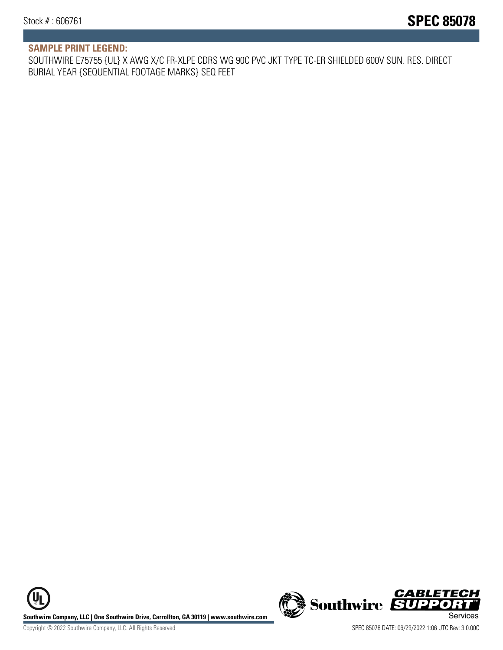#### **SAMPLE PRINT LEGEND:**

SOUTHWIRE E75755 {UL} X AWG X/C FR-XLPE CDRS WG 90C PVC JKT TYPE TC-ER SHIELDED 600V SUN. RES. DIRECT BURIAL YEAR {SEQUENTIAL FOOTAGE MARKS} SEQ FEET

**U Southwire Company, LLC | One Southwire Drive, Carrollton, GA 30119 | www.southwire.com (New Southwire SUPPORTI**